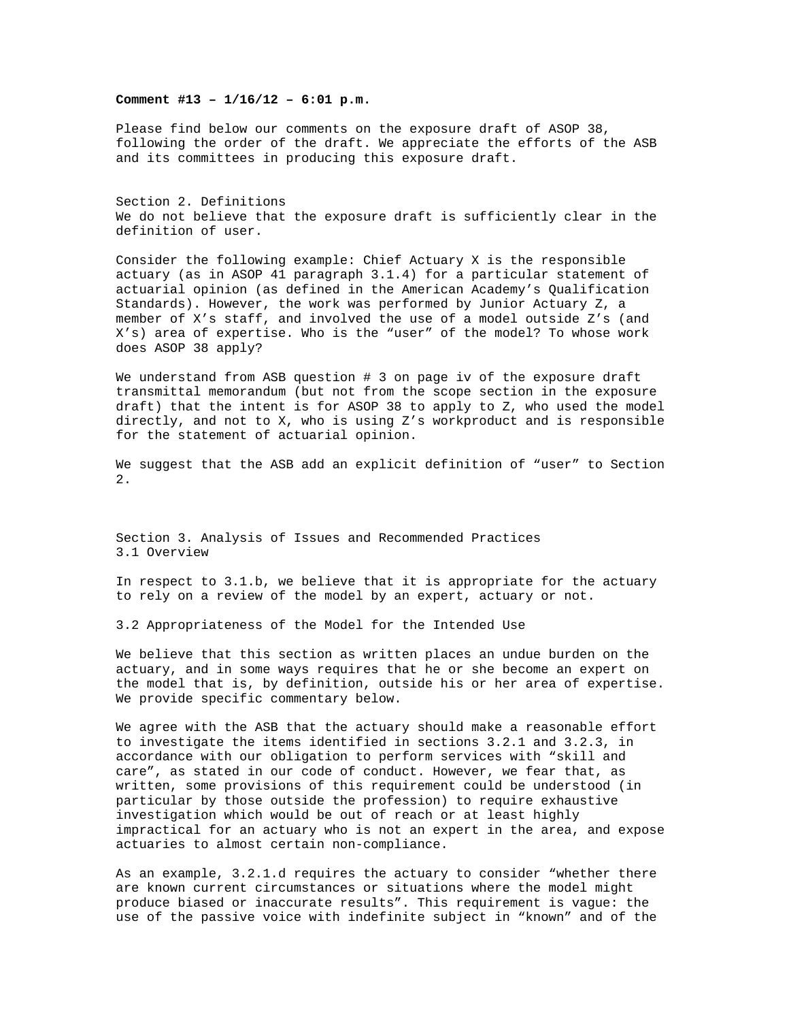**Comment #13 – 1/16/12 – 6:01 p.m.** 

Please find below our comments on the exposure draft of ASOP 38, following the order of the draft. We appreciate the efforts of the ASB and its committees in producing this exposure draft.

Section 2. Definitions We do not believe that the exposure draft is sufficiently clear in the definition of user.

Consider the following example: Chief Actuary X is the responsible actuary (as in ASOP 41 paragraph 3.1.4) for a particular statement of actuarial opinion (as defined in the American Academy's Qualification Standards). However, the work was performed by Junior Actuary Z, a member of X's staff, and involved the use of a model outside Z's (and X's) area of expertise. Who is the "user" of the model? To whose work does ASOP 38 apply?

We understand from ASB question # 3 on page iv of the exposure draft transmittal memorandum (but not from the scope section in the exposure draft) that the intent is for ASOP 38 to apply to Z, who used the model directly, and not to X, who is using Z's workproduct and is responsible for the statement of actuarial opinion.

We suggest that the ASB add an explicit definition of "user" to Section 2.

Section 3. Analysis of Issues and Recommended Practices 3.1 Overview

In respect to 3.1.b, we believe that it is appropriate for the actuary to rely on a review of the model by an expert, actuary or not.

3.2 Appropriateness of the Model for the Intended Use

We believe that this section as written places an undue burden on the actuary, and in some ways requires that he or she become an expert on the model that is, by definition, outside his or her area of expertise. We provide specific commentary below.

We agree with the ASB that the actuary should make a reasonable effort to investigate the items identified in sections 3.2.1 and 3.2.3, in accordance with our obligation to perform services with "skill and care", as stated in our code of conduct. However, we fear that, as written, some provisions of this requirement could be understood (in particular by those outside the profession) to require exhaustive investigation which would be out of reach or at least highly impractical for an actuary who is not an expert in the area, and expose actuaries to almost certain non-compliance.

As an example, 3.2.1.d requires the actuary to consider "whether there are known current circumstances or situations where the model might produce biased or inaccurate results". This requirement is vague: the use of the passive voice with indefinite subject in "known" and of the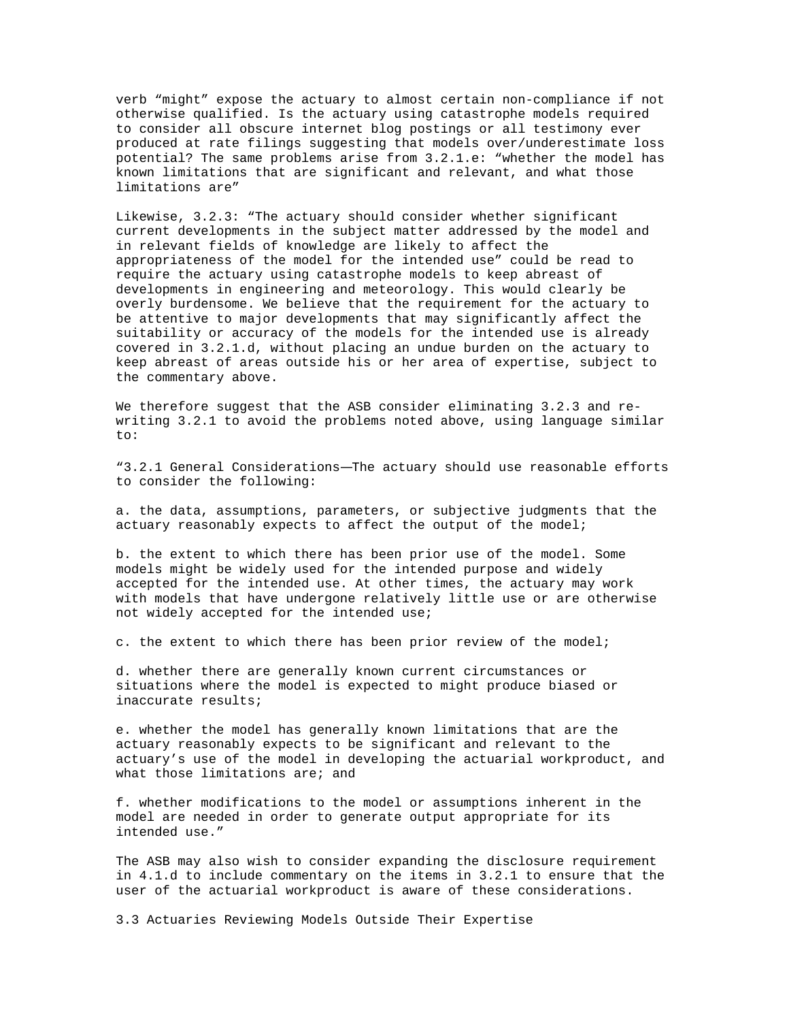verb "might" expose the actuary to almost certain non-compliance if not otherwise qualified. Is the actuary using catastrophe models required to consider all obscure internet blog postings or all testimony ever produced at rate filings suggesting that models over/underestimate loss potential? The same problems arise from 3.2.1.e: "whether the model has known limitations that are significant and relevant, and what those limitations are"

Likewise, 3.2.3: "The actuary should consider whether significant current developments in the subject matter addressed by the model and in relevant fields of knowledge are likely to affect the appropriateness of the model for the intended use" could be read to require the actuary using catastrophe models to keep abreast of developments in engineering and meteorology. This would clearly be overly burdensome. We believe that the requirement for the actuary to be attentive to major developments that may significantly affect the suitability or accuracy of the models for the intended use is already covered in 3.2.1.d, without placing an undue burden on the actuary to keep abreast of areas outside his or her area of expertise, subject to the commentary above.

We therefore suggest that the ASB consider eliminating 3.2.3 and rewriting 3.2.1 to avoid the problems noted above, using language similar to:

"3.2.1 General Considerations—The actuary should use reasonable efforts to consider the following:

a. the data, assumptions, parameters, or subjective judgments that the actuary reasonably expects to affect the output of the model;

b. the extent to which there has been prior use of the model. Some models might be widely used for the intended purpose and widely accepted for the intended use. At other times, the actuary may work with models that have undergone relatively little use or are otherwise not widely accepted for the intended use;

c. the extent to which there has been prior review of the model;

d. whether there are generally known current circumstances or situations where the model is expected to might produce biased or inaccurate results;

e. whether the model has generally known limitations that are the actuary reasonably expects to be significant and relevant to the actuary's use of the model in developing the actuarial workproduct, and what those limitations are; and

f. whether modifications to the model or assumptions inherent in the model are needed in order to generate output appropriate for its intended use."

The ASB may also wish to consider expanding the disclosure requirement in 4.1.d to include commentary on the items in 3.2.1 to ensure that the user of the actuarial workproduct is aware of these considerations.

3.3 Actuaries Reviewing Models Outside Their Expertise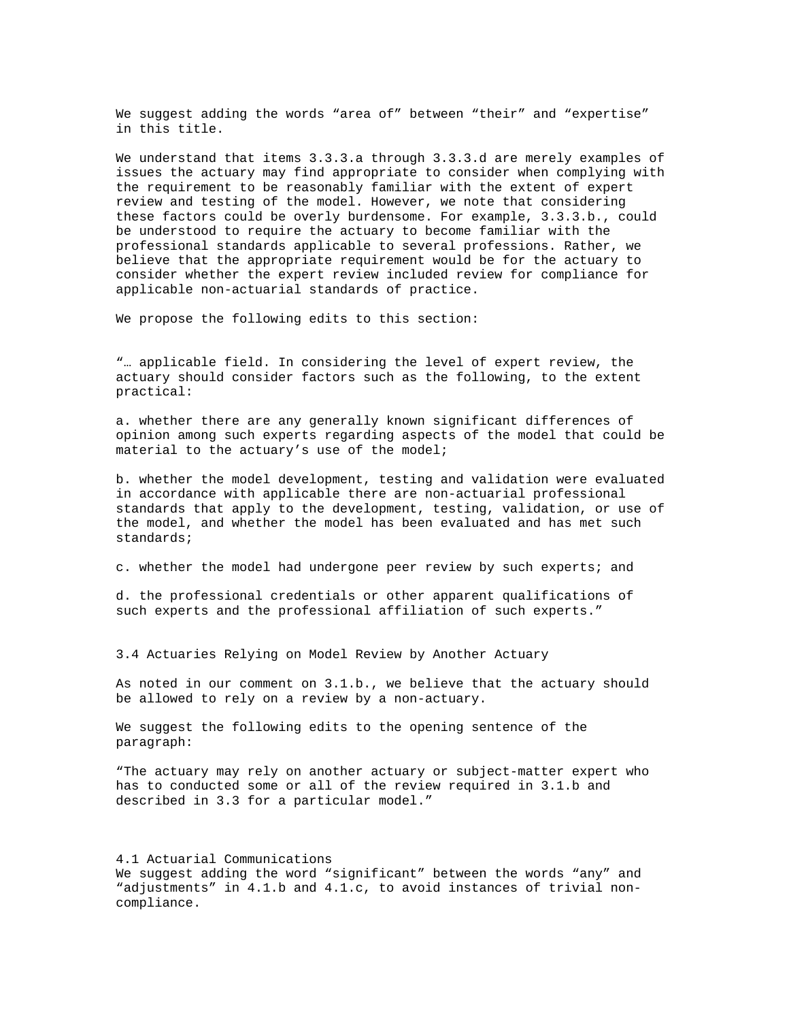We suggest adding the words "area of" between "their" and "expertise" in this title.

We understand that items 3.3.3.a through 3.3.3.d are merely examples of issues the actuary may find appropriate to consider when complying with the requirement to be reasonably familiar with the extent of expert review and testing of the model. However, we note that considering these factors could be overly burdensome. For example, 3.3.3.b., could be understood to require the actuary to become familiar with the professional standards applicable to several professions. Rather, we believe that the appropriate requirement would be for the actuary to consider whether the expert review included review for compliance for applicable non-actuarial standards of practice.

We propose the following edits to this section:

"… applicable field. In considering the level of expert review, the actuary should consider factors such as the following, to the extent practical:

a. whether there are any generally known significant differences of opinion among such experts regarding aspects of the model that could be material to the actuary's use of the model;

b. whether the model development, testing and validation were evaluated in accordance with applicable there are non-actuarial professional standards that apply to the development, testing, validation, or use of the model, and whether the model has been evaluated and has met such standards;

c. whether the model had undergone peer review by such experts; and

d. the professional credentials or other apparent qualifications of such experts and the professional affiliation of such experts."

3.4 Actuaries Relying on Model Review by Another Actuary

As noted in our comment on 3.1.b., we believe that the actuary should be allowed to rely on a review by a non-actuary.

We suggest the following edits to the opening sentence of the paragraph:

"The actuary may rely on another actuary or subject-matter expert who has to conducted some or all of the review required in 3.1.b and described in 3.3 for a particular model."

4.1 Actuarial Communications We suggest adding the word "significant" between the words "any" and "adjustments" in 4.1.b and 4.1.c, to avoid instances of trivial noncompliance.